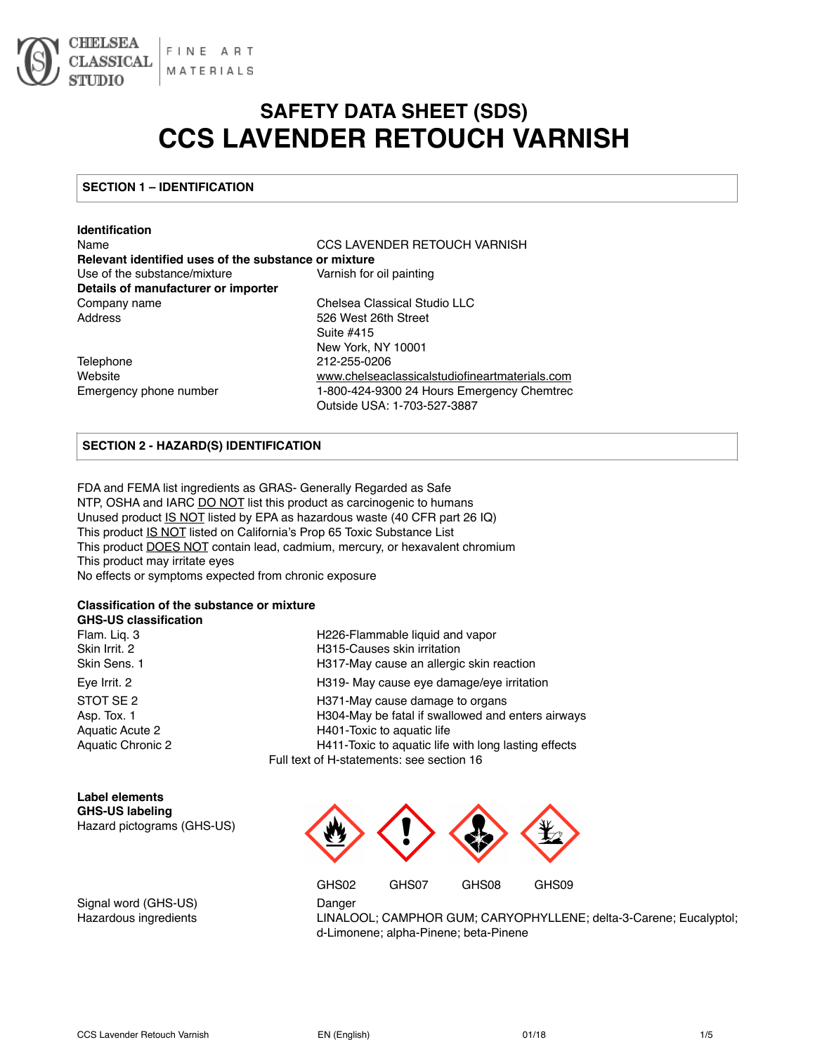

# **SAFETY DATA SHEET (SDS) CCS LAVENDER RETOUCH VARNISH**

Outside USA: 1-703-527-3887

# **SECTION 1 – IDENTIFICATION**

| <b>Identification</b>                                |                                                |  |
|------------------------------------------------------|------------------------------------------------|--|
| Name                                                 | CCS LAVENDER RETOUCH VARNISH                   |  |
| Relevant identified uses of the substance or mixture |                                                |  |
| Use of the substance/mixture                         | Varnish for oil painting                       |  |
| Details of manufacturer or importer                  |                                                |  |
| Company name                                         | Chelsea Classical Studio LLC                   |  |
| Address                                              | 526 West 26th Street                           |  |
|                                                      | Suite #415                                     |  |
|                                                      | New York, NY 10001                             |  |
| Telephone                                            | 212-255-0206                                   |  |
| Website                                              | www.chelseaclassicalstudiofineartmaterials.com |  |
| Emergency phone number                               | 1-800-424-9300 24 Hours Emergency Chemtrec     |  |

# **SECTION 2 - HAZARD(S) IDENTIFICATION**

FDA and FEMA list ingredients as GRAS- Generally Regarded as Safe NTP, OSHA and IARC DO NOT list this product as carcinogenic to humans Unused product IS NOT listed by EPA as hazardous waste (40 CFR part 26 IQ) This product IS NOT listed on California's Prop 65 Toxic Substance List This product **DOES NOT** contain lead, cadmium, mercury, or hexavalent chromium This product may irritate eyes No effects or symptoms expected from chronic exposure

#### **Classification of the substance or mixture**

#### **GHS-US classification**

| Flam. Lig. 3             |
|--------------------------|
| Skin Irrit. 2            |
| Skin Sens. 1             |
| Eve Irrit. 2             |
| STOT SF <sub>2</sub>     |
| Asp. Tox. 1              |
| Aquatic Acute 2          |
| <b>Aquatic Chronic 2</b> |
|                          |

| Flam. Lig. 3      | H226-Flammable liquid and vapor                      |
|-------------------|------------------------------------------------------|
| Skin Irrit. 2     | H315-Causes skin irritation                          |
| Skin Sens. 1      | H317-May cause an allergic skin reaction             |
| Eve Irrit. 2      | H319- May cause eye damage/eye irritation            |
| STOT SE 2         | H371-May cause damage to organs                      |
| Asp. Tox. 1       | H304-May be fatal if swallowed and enters airways    |
| Aquatic Acute 2   | H401-Toxic to aquatic life                           |
| Aquatic Chronic 2 | H411-Toxic to aquatic life with long lasting effects |
|                   | Full text of H-statements: see section 16            |

| Label elements             |  |  |
|----------------------------|--|--|
| <b>GHS-US labeling</b>     |  |  |
| Hazard pictograms (GHS-US) |  |  |



Signal word (GHS-US) Danger

Hazardous ingredients LINALOOL; CAMPHOR GUM; CARYOPHYLLENE; delta-3-Carene; Eucalyptol; d-Limonene; alpha-Pinene; beta-Pinene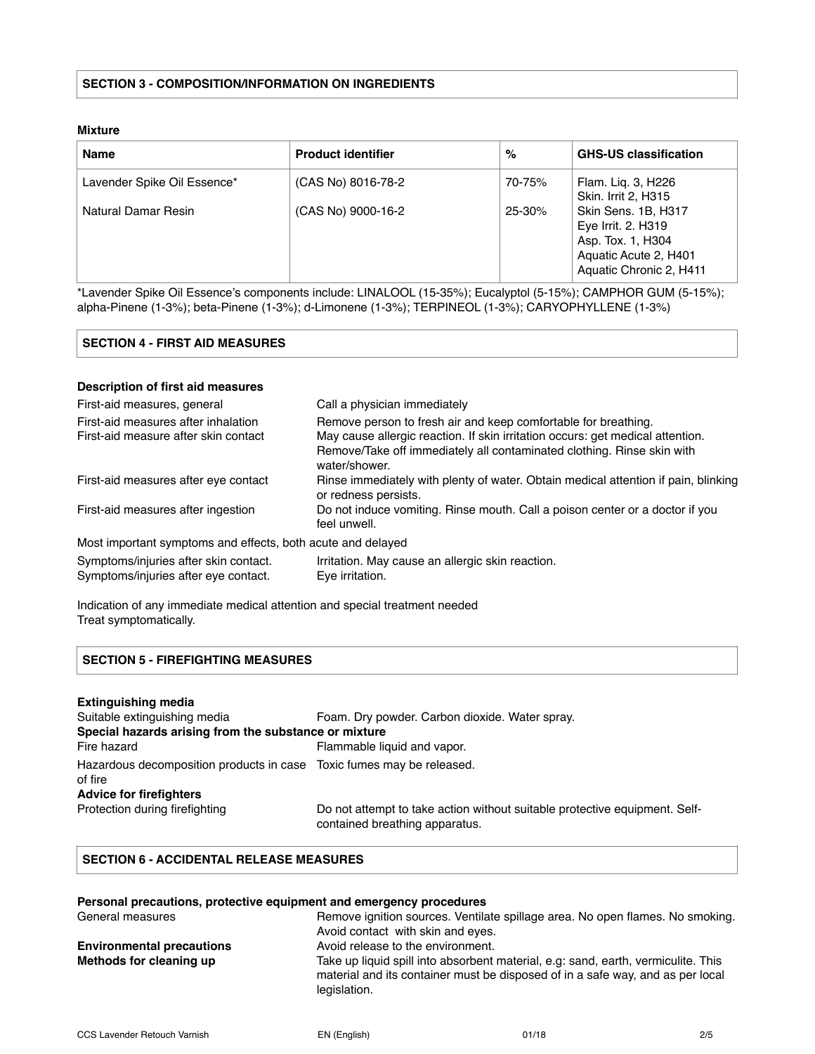#### **Mixture**

| <b>Name</b>                 | <b>Product identifier</b> | %          | <b>GHS-US classification</b>                                                                                       |
|-----------------------------|---------------------------|------------|--------------------------------------------------------------------------------------------------------------------|
| Lavender Spike Oil Essence* | (CAS No) 8016-78-2        | 70-75%     | Flam. Lig. 3, H226<br>Skin. Irrit 2, H315                                                                          |
| Natural Damar Resin         | (CAS No) 9000-16-2        | $25 - 30%$ | Skin Sens. 1B, H317<br>Eye Irrit. 2. H319<br>Asp. Tox. 1, H304<br>Aquatic Acute 2, H401<br>Aquatic Chronic 2, H411 |

\*Lavender Spike Oil Essence's components include: LINALOOL (15-35%); Eucalyptol (5-15%); CAMPHOR GUM (5-15%); alpha-Pinene (1-3%); beta-Pinene (1-3%); d-Limonene (1-3%); TERPINEOL (1-3%); CARYOPHYLLENE (1-3%)

| SECTION 4 - FIRST AID MEASURES |  |
|--------------------------------|--|
|--------------------------------|--|

# **Description of first aid measures**

| First-aid measures, general                                 | Call a physician immediately                                                                               |
|-------------------------------------------------------------|------------------------------------------------------------------------------------------------------------|
| First-aid measures after inhalation                         | Remove person to fresh air and keep comfortable for breathing.                                             |
| First-aid measure after skin contact                        | May cause allergic reaction. If skin irritation occurs: get medical attention.                             |
|                                                             | Remove/Take off immediately all contaminated clothing. Rinse skin with<br>water/shower.                    |
| First-aid measures after eye contact                        | Rinse immediately with plenty of water. Obtain medical attention if pain, blinking<br>or redness persists. |
| First-aid measures after ingestion                          | Do not induce vomiting. Rinse mouth. Call a poison center or a doctor if you<br>feel unwell.               |
| Most important symptoms and effects, both acute and delayed |                                                                                                            |
| Symptoms/injuries after skin contact.                       | Irritation. May cause an allergic skin reaction.                                                           |
| Symptoms/injuries after eye contact.                        | Eye irritation.                                                                                            |

Indication of any immediate medical attention and special treatment needed Treat symptomatically.

# **SECTION 5 - FIREFIGHTING MEASURES**

| <b>Extinguishing media</b>                                                       |                                                                                                              |
|----------------------------------------------------------------------------------|--------------------------------------------------------------------------------------------------------------|
| Suitable extinguishing media                                                     | Foam. Dry powder. Carbon dioxide. Water spray.                                                               |
| Special hazards arising from the substance or mixture                            |                                                                                                              |
| Fire hazard                                                                      | Flammable liquid and vapor.                                                                                  |
| Hazardous decomposition products in case Toxic fumes may be released.<br>of fire |                                                                                                              |
| <b>Advice for firefighters</b>                                                   |                                                                                                              |
| Protection during firefighting                                                   | Do not attempt to take action without suitable protective equipment. Self-<br>contained breathing apparatus. |

# **SECTION 6 - ACCIDENTAL RELEASE MEASURES**

|                                  | Personal precautions, protective equipment and emergency procedures                                                                                                                 |
|----------------------------------|-------------------------------------------------------------------------------------------------------------------------------------------------------------------------------------|
| General measures                 | Remove ignition sources. Ventilate spillage area. No open flames. No smoking.                                                                                                       |
|                                  | Avoid contact with skin and eyes.                                                                                                                                                   |
| <b>Environmental precautions</b> | Avoid release to the environment.                                                                                                                                                   |
| Methods for cleaning up          | Take up liquid spill into absorbent material, e.g. sand, earth, vermiculite. This<br>material and its container must be disposed of in a safe way, and as per local<br>legislation. |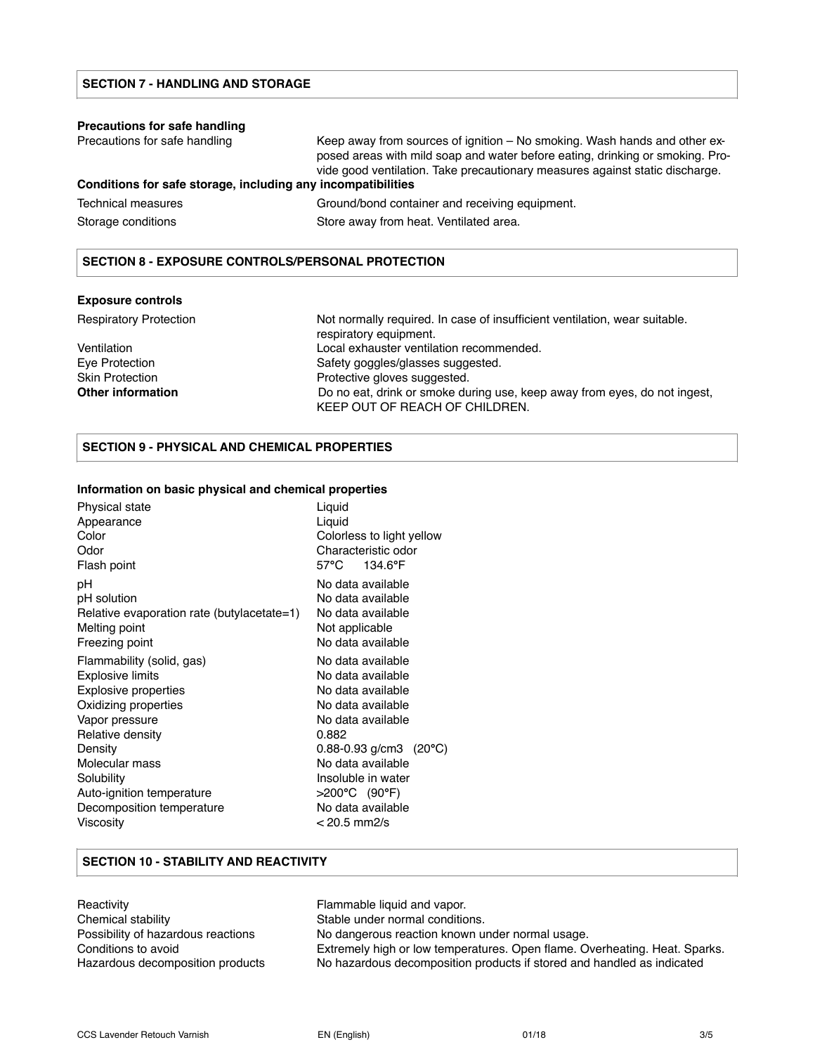#### **Precautions for safe handling**

Precautions for safe handling Keep away from sources of ignition – No smoking. Wash hands and other exposed areas with mild soap and water before eating, drinking or smoking. Provide good ventilation. Take precautionary measures against static discharge.

# **Conditions for safe storage, including any incompatibilities**

| Technical measures | Ground/bond container and receiving equipment. |
|--------------------|------------------------------------------------|
| Storage conditions | Store away from heat. Ventilated area.         |

#### **SECTION 8 - EXPOSURE CONTROLS/PERSONAL PROTECTION**

#### **Exposure controls**

Respiratory Protection **Not normally required.** In case of insufficient ventilation, wear suitable. respiratory equipment. Ventilation Local exhauster ventilation recommended. Eye Protection Safety goggles/glasses suggested. Skin Protection **Protective gloves suggested. Other information** Do no eat, drink or smoke during use, keep away from eyes, do not ingest, KEEP OUT OF REACH OF CHILDREN.

## **SECTION 9 - PHYSICAL AND CHEMICAL PROPERTIES**

#### **Information on basic physical and chemical properties**

| Physical state<br>Appearance<br>Color<br>Odor<br>Flash point | Liquid<br>Liquid<br>Colorless to light yellow<br>Characteristic odor<br>57°C<br>134.6°F |
|--------------------------------------------------------------|-----------------------------------------------------------------------------------------|
| рH<br>pH solution                                            | No data available<br>No data available                                                  |
| Relative evaporation rate (butylacetate=1)                   | No data available                                                                       |
| Melting point                                                | Not applicable                                                                          |
| Freezing point                                               | No data available                                                                       |
| Flammability (solid, gas)                                    | No data available                                                                       |
| Explosive limits                                             | No data available                                                                       |
| <b>Explosive properties</b>                                  | No data available                                                                       |
| Oxidizing properties                                         | No data available                                                                       |
| Vapor pressure                                               | No data available                                                                       |
| Relative density                                             | 0.882                                                                                   |
| Density                                                      | $0.88 - 0.93$ g/cm3 (20 $^{\circ}$ C)                                                   |
| Molecular mass                                               | No data available                                                                       |
| Solubility                                                   | Insoluble in water                                                                      |
| Auto-ignition temperature                                    | >200°C (90°F)                                                                           |
| Decomposition temperature                                    | No data available                                                                       |
| Viscosity                                                    | < 20.5 mm2/s                                                                            |

#### **SECTION 10 - STABILITY AND REACTIVITY**

Reactivity **Flammable liquid and vapor.** Chemical stability Stable under normal conditions. Possibility of hazardous reactions No dangerous reaction known under normal usage. Conditions to avoid Extremely high or low temperatures. Open flame. Overheating. Heat. Sparks. Hazardous decomposition products No hazardous decomposition products if stored and handled as indicated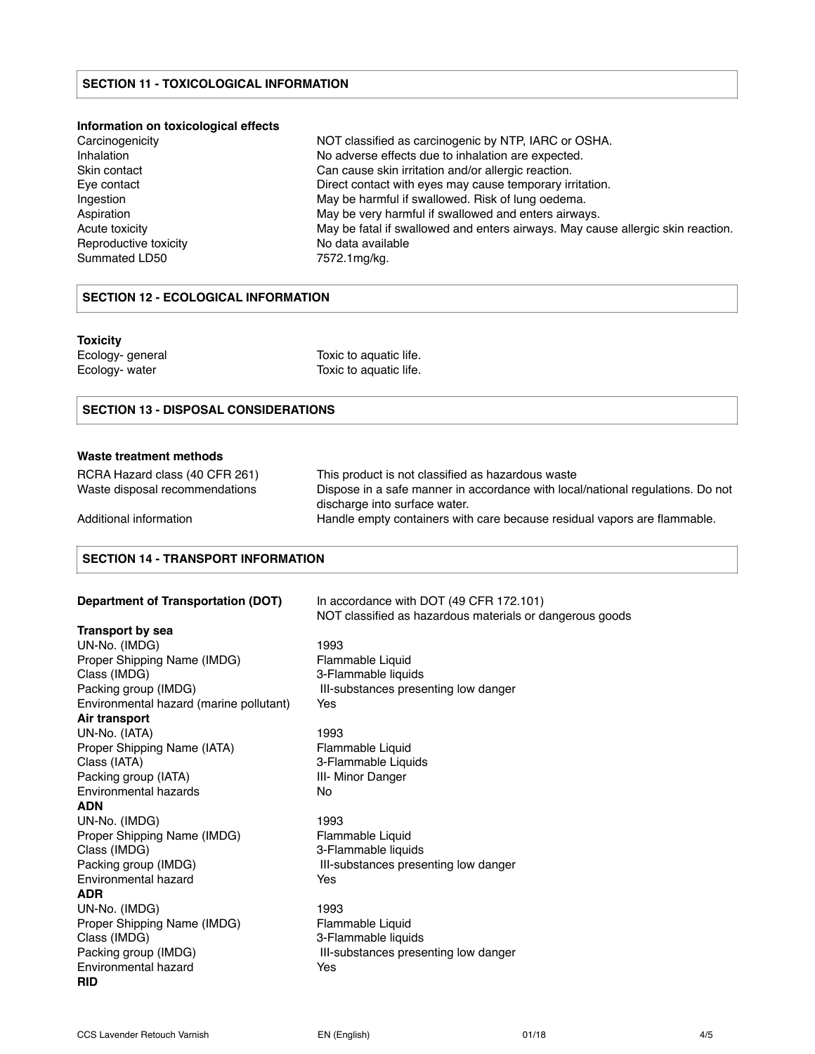#### **SECTION 11 - TOXICOLOGICAL INFORMATION**

#### **Information on toxicological effects**

| Carcinogenicity       | NOT classified as carcinogenic by NTP, IARC or OSHA.                            |
|-----------------------|---------------------------------------------------------------------------------|
| Inhalation            | No adverse effects due to inhalation are expected.                              |
| Skin contact          | Can cause skin irritation and/or allergic reaction.                             |
| Eye contact           | Direct contact with eyes may cause temporary irritation.                        |
| Ingestion             | May be harmful if swallowed. Risk of lung oedema.                               |
| Aspiration            | May be very harmful if swallowed and enters airways.                            |
| Acute toxicity        | May be fatal if swallowed and enters airways. May cause allergic skin reaction. |
| Reproductive toxicity | No data available                                                               |
| Summated LD50         | 7572.1mg/kg.                                                                    |

#### **SECTION 12 - ECOLOGICAL INFORMATION**

#### **Toxicity**

Ecology- general Toxic to aquatic life.

Ecology- water Toxic to aquatic life.

## **SECTION 13 - DISPOSAL CONSIDERATIONS**

#### **Waste treatment methods**

| RCRA Hazard class (40 CFR 261) | This product is not classified as hazardous waste                              |
|--------------------------------|--------------------------------------------------------------------------------|
| Waste disposal recommendations | Dispose in a safe manner in accordance with local/national regulations. Do not |
|                                | discharge into surface water.                                                  |
| Additional information         | Handle empty containers with care because residual vapors are flammable.       |

#### **SECTION 14 - TRANSPORT INFORMATION**

**Transport by sea** 

UN-No. (IMDG) 1993 Proper Shipping Name (IMDG) Flammable Liquid Class (IMDG) 3-Flammable liquids Packing group (IMDG) **III-substances presenting low danger** Environmental hazard (marine pollutant) Yes **Air transport**  UN-No. (IATA) 1993 Proper Shipping Name (IATA) Flammable Liquid Class (IATA) 3-Flammable Liquids Packing group (IATA) **III- Minor Danger** Environmental hazards No **ADN** UN-No. (IMDG) 1993 Proper Shipping Name (IMDG) Flammable Liquid Class (IMDG) 3-Flammable liquids Packing group (IMDG) **III-substances presenting low danger** Environmental hazard **Yes ADR** UN-No. (IMDG) 1993 Proper Shipping Name (IMDG) Flammable Liquid Class (IMDG) 3-Flammable liquids Packing group (IMDG) **III-substances presenting low danger** Environmental hazard **Yes RID**

**Department of Transportation (DOT)** In accordance with DOT (49 CFR 172.101) NOT classified as hazardous materials or dangerous goods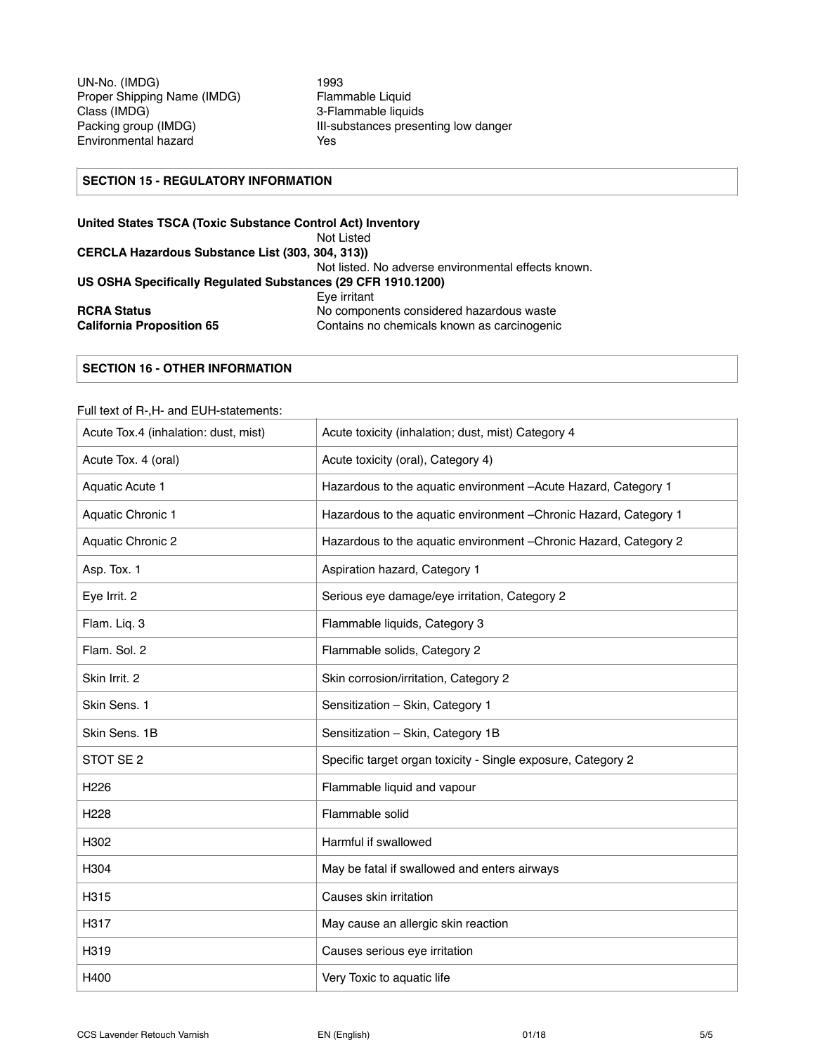UN-No. (IMDG)<br>Proper Shipping Name (IMDG) Flammable Liquid Proper Shipping Name (IMDG)<br>Class (IMDG) Environmental hazard **Yes** 

3-Flammable liquids Packing group (IMDG) **III-substances presenting low danger** 

# **SECTION 15 - REGULATORY INFORMATION**

| United States TSCA (Toxic Substance Control Act) Inventory   |                                                     |
|--------------------------------------------------------------|-----------------------------------------------------|
|                                                              | Not Listed                                          |
| CERCLA Hazardous Substance List (303, 304, 313))             |                                                     |
|                                                              | Not listed. No adverse environmental effects known. |
| US OSHA Specifically Requlated Substances (29 CFR 1910.1200) |                                                     |
|                                                              | Eve irritant                                        |
| <b>RCRA Status</b>                                           | No components considered hazardous waste            |
| <b>California Proposition 65</b>                             | Contains no chemicals known as carcinogenic         |

# **SECTION 16 - OTHER INFORMATION**

#### Full text of R-,H- and EUH-statements:

| Acute Tox.4 (inhalation: dust, mist) | Acute toxicity (inhalation; dust, mist) Category 4                |
|--------------------------------------|-------------------------------------------------------------------|
| Acute Tox. 4 (oral)                  | Acute toxicity (oral), Category 4)                                |
| Aquatic Acute 1                      | Hazardous to the aquatic environment -Acute Hazard, Category 1    |
| Aquatic Chronic 1                    | Hazardous to the aquatic environment - Chronic Hazard, Category 1 |
| Aquatic Chronic 2                    | Hazardous to the aquatic environment - Chronic Hazard, Category 2 |
| Asp. Tox. 1                          | Aspiration hazard, Category 1                                     |
| Eye Irrit. 2                         | Serious eye damage/eye irritation, Category 2                     |
| Flam. Liq. 3                         | Flammable liquids, Category 3                                     |
| Flam. Sol. 2                         | Flammable solids, Category 2                                      |
| Skin Irrit. 2                        | Skin corrosion/irritation, Category 2                             |
| Skin Sens. 1                         | Sensitization - Skin, Category 1                                  |
| Skin Sens. 1B                        | Sensitization - Skin, Category 1B                                 |
| STOT SE <sub>2</sub>                 | Specific target organ toxicity - Single exposure, Category 2      |
| H <sub>226</sub>                     | Flammable liquid and vapour                                       |
| H <sub>228</sub>                     | Flammable solid                                                   |
| H302                                 | Harmful if swallowed                                              |
| H304                                 | May be fatal if swallowed and enters airways                      |
| H315                                 | Causes skin irritation                                            |
| H317                                 | May cause an allergic skin reaction                               |
| H319                                 | Causes serious eye irritation                                     |
| H400                                 | Very Toxic to aquatic life                                        |